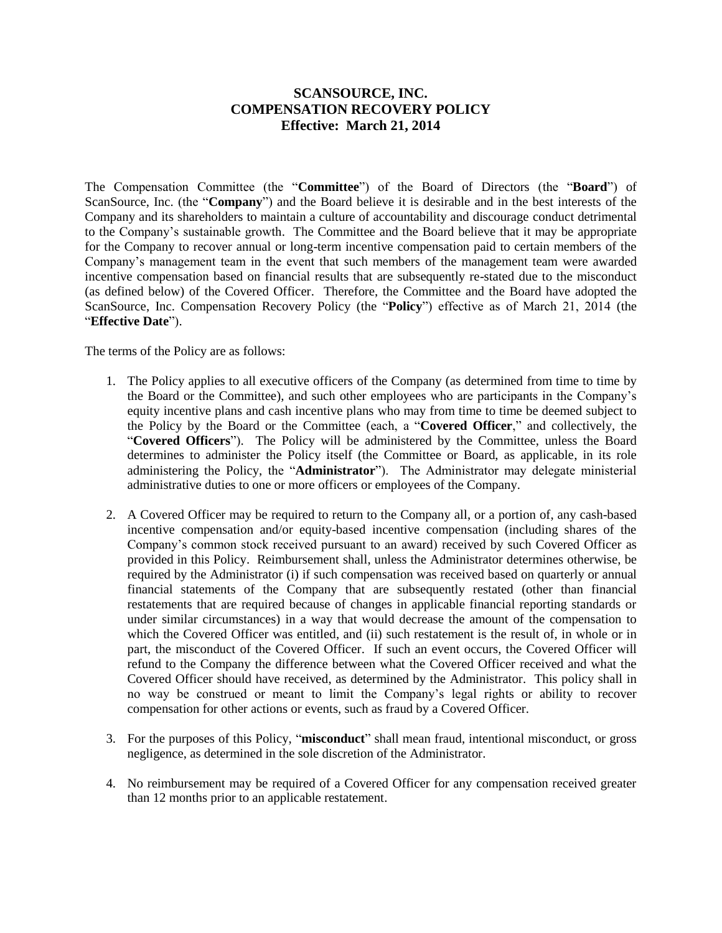## **SCANSOURCE, INC. COMPENSATION RECOVERY POLICY Effective: March 21, 2014**

The Compensation Committee (the "**Committee**") of the Board of Directors (the "**Board**") of ScanSource, Inc. (the "**Company**") and the Board believe it is desirable and in the best interests of the Company and its shareholders to maintain a culture of accountability and discourage conduct detrimental to the Company's sustainable growth. The Committee and the Board believe that it may be appropriate for the Company to recover annual or long-term incentive compensation paid to certain members of the Company's management team in the event that such members of the management team were awarded incentive compensation based on financial results that are subsequently re-stated due to the misconduct (as defined below) of the Covered Officer. Therefore, the Committee and the Board have adopted the ScanSource, Inc. Compensation Recovery Policy (the "**Policy**") effective as of March 21, 2014 (the "**Effective Date**").

The terms of the Policy are as follows:

- 1. The Policy applies to all executive officers of the Company (as determined from time to time by the Board or the Committee), and such other employees who are participants in the Company's equity incentive plans and cash incentive plans who may from time to time be deemed subject to the Policy by the Board or the Committee (each, a "**Covered Officer**," and collectively, the "**Covered Officers**"). The Policy will be administered by the Committee, unless the Board determines to administer the Policy itself (the Committee or Board, as applicable, in its role administering the Policy, the "**Administrator**"). The Administrator may delegate ministerial administrative duties to one or more officers or employees of the Company.
- 2. A Covered Officer may be required to return to the Company all, or a portion of, any cash-based incentive compensation and/or equity-based incentive compensation (including shares of the Company's common stock received pursuant to an award) received by such Covered Officer as provided in this Policy. Reimbursement shall, unless the Administrator determines otherwise, be required by the Administrator (i) if such compensation was received based on quarterly or annual financial statements of the Company that are subsequently restated (other than financial restatements that are required because of changes in applicable financial reporting standards or under similar circumstances) in a way that would decrease the amount of the compensation to which the Covered Officer was entitled, and (ii) such restatement is the result of, in whole or in part, the misconduct of the Covered Officer. If such an event occurs, the Covered Officer will refund to the Company the difference between what the Covered Officer received and what the Covered Officer should have received, as determined by the Administrator. This policy shall in no way be construed or meant to limit the Company's legal rights or ability to recover compensation for other actions or events, such as fraud by a Covered Officer.
- 3. For the purposes of this Policy, "**misconduct**" shall mean fraud, intentional misconduct, or gross negligence, as determined in the sole discretion of the Administrator.
- 4. No reimbursement may be required of a Covered Officer for any compensation received greater than 12 months prior to an applicable restatement.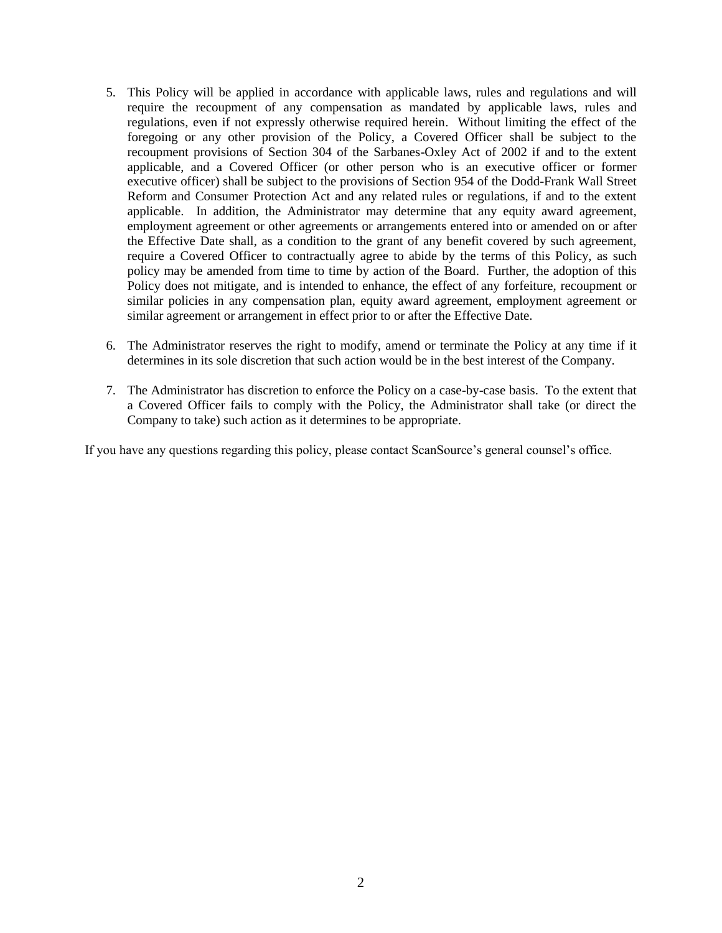- 5. This Policy will be applied in accordance with applicable laws, rules and regulations and will require the recoupment of any compensation as mandated by applicable laws, rules and regulations, even if not expressly otherwise required herein. Without limiting the effect of the foregoing or any other provision of the Policy, a Covered Officer shall be subject to the recoupment provisions of Section 304 of the Sarbanes-Oxley Act of 2002 if and to the extent applicable, and a Covered Officer (or other person who is an executive officer or former executive officer) shall be subject to the provisions of Section 954 of the Dodd-Frank Wall Street Reform and Consumer Protection Act and any related rules or regulations, if and to the extent applicable. In addition, the Administrator may determine that any equity award agreement, employment agreement or other agreements or arrangements entered into or amended on or after the Effective Date shall, as a condition to the grant of any benefit covered by such agreement, require a Covered Officer to contractually agree to abide by the terms of this Policy, as such policy may be amended from time to time by action of the Board. Further, the adoption of this Policy does not mitigate, and is intended to enhance, the effect of any forfeiture, recoupment or similar policies in any compensation plan, equity award agreement, employment agreement or similar agreement or arrangement in effect prior to or after the Effective Date.
- 6. The Administrator reserves the right to modify, amend or terminate the Policy at any time if it determines in its sole discretion that such action would be in the best interest of the Company.
- 7. The Administrator has discretion to enforce the Policy on a case-by-case basis. To the extent that a Covered Officer fails to comply with the Policy, the Administrator shall take (or direct the Company to take) such action as it determines to be appropriate.

If you have any questions regarding this policy, please contact ScanSource's general counsel's office.